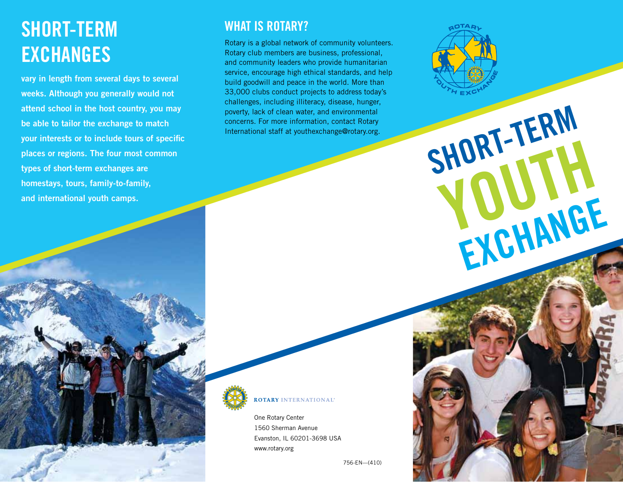# Short-term **EXCHANGES**

vary in length from several days to several weeks. Although you generally would not attend school in the host country, you may be able to tailor the exchange to match your interests or to include tours of specific places or regions. The four most common types of short-term exchanges are homestays, tours, family-to-family, and international youth camps.

#### WHAT IS ROTARY?

Rotary is a global network of community volunteers. Rotary club members are business, professional, and community leaders who provide humanitarian service, encourage high ethical standards, and help build goodwill and peace in the world. More than 33,000 clubs conduct projects to address today's challenges, including illiteracy, disease, hunger, poverty, lack of clean water, and environmental concerns. For more information, contact Rotary International staff at youthexchange@rotary.org.



#### **ROTARY INTERNATIONAL**

One Rotary Center 1560 Sherman Avenue Evanston, IL 60201-3698 USA www.rotary.org

756-EN—(410)



HORL JANE

EXCHANGE